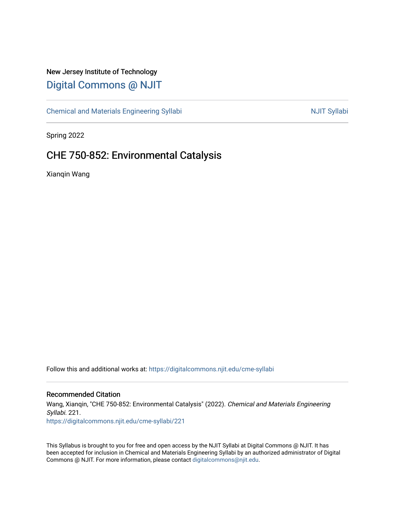# New Jersey Institute of Technology [Digital Commons @ NJIT](https://digitalcommons.njit.edu/)

[Chemical and Materials Engineering Syllabi](https://digitalcommons.njit.edu/cme-syllabi) Nulle and Syllabi Nulle Syllabi Nulle Syllabi Nulle Syllabi Nulle Syllabi

Spring 2022

# CHE 750-852: Environmental Catalysis

Xianqin Wang

Follow this and additional works at: [https://digitalcommons.njit.edu/cme-syllabi](https://digitalcommons.njit.edu/cme-syllabi?utm_source=digitalcommons.njit.edu%2Fcme-syllabi%2F221&utm_medium=PDF&utm_campaign=PDFCoverPages) 

#### Recommended Citation

Wang, Xianqin, "CHE 750-852: Environmental Catalysis" (2022). Chemical and Materials Engineering Syllabi. 221.

[https://digitalcommons.njit.edu/cme-syllabi/221](https://digitalcommons.njit.edu/cme-syllabi/221?utm_source=digitalcommons.njit.edu%2Fcme-syllabi%2F221&utm_medium=PDF&utm_campaign=PDFCoverPages) 

This Syllabus is brought to you for free and open access by the NJIT Syllabi at Digital Commons @ NJIT. It has been accepted for inclusion in Chemical and Materials Engineering Syllabi by an authorized administrator of Digital Commons @ NJIT. For more information, please contact [digitalcommons@njit.edu.](mailto:digitalcommons@njit.edu)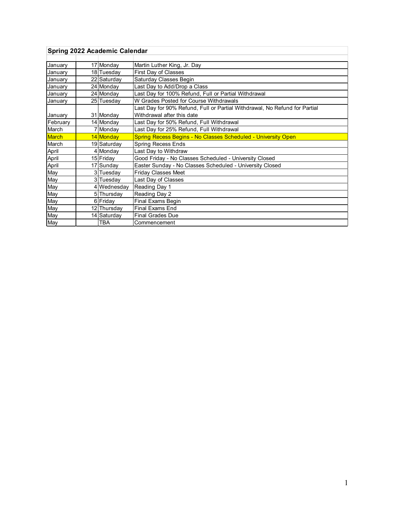| Spring 2022 Academic Calendar |  |             |                                                                            |  |  |  |  |  |
|-------------------------------|--|-------------|----------------------------------------------------------------------------|--|--|--|--|--|
|                               |  |             |                                                                            |  |  |  |  |  |
| January                       |  | 17 Monday   | Martin Luther King, Jr. Day                                                |  |  |  |  |  |
| January                       |  | 18 Tuesday  | First Day of Classes                                                       |  |  |  |  |  |
| January                       |  | 22 Saturday | Saturday Classes Begin                                                     |  |  |  |  |  |
| January                       |  | 24 Monday   | Last Day to Add/Drop a Class                                               |  |  |  |  |  |
| January                       |  | 24 Monday   | Last Day for 100% Refund, Full or Partial Withdrawal                       |  |  |  |  |  |
| January                       |  | 25 Tuesday  | W Grades Posted for Course Withdrawals                                     |  |  |  |  |  |
|                               |  |             | Last Day for 90% Refund, Full or Partial Withdrawal, No Refund for Partial |  |  |  |  |  |
| January                       |  | 31 Monday   | Withdrawal after this date                                                 |  |  |  |  |  |
| February                      |  | 14 Monday   | Last Day for 50% Refund, Full Withdrawal                                   |  |  |  |  |  |
| March                         |  | 7 Monday    | Last Day for 25% Refund, Full Withdrawal                                   |  |  |  |  |  |
| March                         |  | 14 Monday   | Spring Recess Begins - No Classes Scheduled - University Open              |  |  |  |  |  |
| March                         |  | 19 Saturday | Spring Recess Ends                                                         |  |  |  |  |  |
| April                         |  | 4 Monday    | Last Day to Withdraw                                                       |  |  |  |  |  |
| April                         |  | 15 Friday   | Good Friday - No Classes Scheduled - University Closed                     |  |  |  |  |  |
| April                         |  | 17 Sunday   | Easter Sunday - No Classes Scheduled - University Closed                   |  |  |  |  |  |
| May                           |  | 3 Tuesday   | <b>Friday Classes Meet</b>                                                 |  |  |  |  |  |
| May                           |  | 3 Tuesday   | Last Day of Classes                                                        |  |  |  |  |  |
| May                           |  | 4 Wednesday | Reading Day 1                                                              |  |  |  |  |  |
| May                           |  | 5 Thursday  | Reading Day 2                                                              |  |  |  |  |  |
| May                           |  | 6 Friday    | Final Exams Begin                                                          |  |  |  |  |  |
| May                           |  | 12 Thursday | <b>Final Exams End</b>                                                     |  |  |  |  |  |
| May                           |  | 14 Saturday | Final Grades Due                                                           |  |  |  |  |  |
| May                           |  | TBA         | Commencement                                                               |  |  |  |  |  |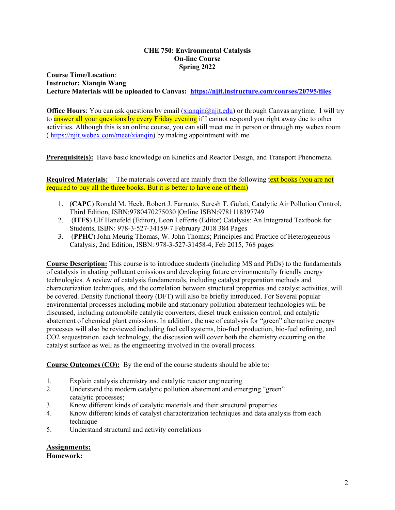#### **CHE 750: Environmental Catalysis On-line Course Spring 2022**

**Course Time/Location**: **Instructor: Xianqin Wang Lecture Materials will be uploaded to Canvas: <https://njit.instructure.com/courses/20795/files>**

**Office Hours**: You can ask questions by email [\(xianqin@njit.edu\)](mailto:xianqin@njit.edu) or through Canvas anytime. I will try to answer all your questions by every Friday evening if I cannot respond you right away due to other activities. Although this is an online course, you can still meet me in person or through my webex room ( [https://njit.webex.com/meet/xianqin\)](https://njit.webex.com/meet/xianqin) by making appointment with me.

**Prerequisite(s):** Have basic knowledge on Kinetics and Reactor Design, and Transport Phenomena.

**Required Materials:** The materials covered are mainly from the following text books (you are not required to buy all the three books. But it is better to have one of them)

- 1. (**CAPC**) Ronald M. Heck, Robert J. Farrauto, Suresh T. Gulati, Catalytic Air Pollution Control, Third Edition, ISBN:9780470275030 |Online ISBN:9781118397749
- 2. (**ITFS**) Ulf Hanefeld (Editor), Leon Lefferts (Editor) Catalysis: An Integrated Textbook for Students, ISBN: 978-3-527-34159-7 February 2018 384 Pages
- 3. (**PPHC**) John Meurig Thomas, W. John Thomas; Principles and Practice of Heterogeneous Catalysis, 2nd Edition, ISBN: 978-3-527-31458-4, Feb 2015, 768 pages

**Course Description:** This course is to introduce students (including MS and PhDs) to the fundamentals of catalysis in abating pollutant emissions and developing future environmentally friendly energy technologies. A review of catalysis fundamentals, including catalyst preparation methods and characterization techniques, and the correlation between structural properties and catalyst activities, will be covered. Density functional theory (DFT) will also be briefly introduced. For Several popular environmental processes including mobile and stationary pollution abatement technologies will be discussed, including automobile catalytic converters, diesel truck emission control, and catalytic abatement of chemical plant emissions. In addition, the use of catalysis for "green" alternative energy processes will also be reviewed including fuel cell systems, bio-fuel production, bio-fuel refining, and CO2 sequestration. each technology, the discussion will cover both the chemistry occurring on the catalyst surface as well as the engineering involved in the overall process.

**Course Outcomes (CO):** By the end of the course students should be able to:

- 1. Explain catalysis chemistry and catalytic reactor engineering
- 2. Understand the modern catalytic pollution abatement and emerging "green" catalytic processes;
- 3. Know different kinds of catalytic materials and their structural properties
- 4. Know different kinds of catalyst characterization techniques and data analysis from each technique
- 5. Understand structural and activity correlations

### **Assignments:**

**Homework:**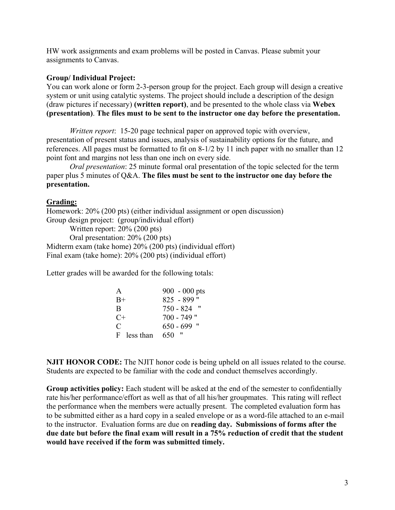HW work assignments and exam problems will be posted in Canvas. Please submit your assignments to Canvas.

# **Group/ Individual Project:**

You can work alone or form 2-3-person group for the project. Each group will design a creative system or unit using catalytic systems. The project should include a description of the design (draw pictures if necessary) **(written report)**, and be presented to the whole class via **Webex (presentation)**. **The files must to be sent to the instructor one day before the presentation.**

*Written report*: 15-20 page technical paper on approved topic with overview, presentation of present status and issues, analysis of sustainability options for the future, and references. All pages must be formatted to fit on 8-1/2 by 11 inch paper with no smaller than 12 point font and margins not less than one inch on every side.

*Oral presentation*: 25 minute formal oral presentation of the topic selected for the term paper plus 5 minutes of Q&A. **The files must be sent to the instructor one day before the presentation.**

## **Grading:**

Homework: 20% (200 pts) (either individual assignment or open discussion) Group design project: (group/individual effort) Written report: 20% (200 pts) Oral presentation: 20% (200 pts) Midterm exam (take home) 20% (200 pts) (individual effort) Final exam (take home): 20% (200 pts) (individual effort)

Letter grades will be awarded for the following totals:

| $900 - 000$ pts          |
|--------------------------|
| $825 - 899$ "            |
| $750 - 824$ "            |
| $700 - 749$ "            |
| $650 - 699$ "            |
| $^{\prime\prime}$<br>650 |
|                          |

**NJIT HONOR CODE:** The NJIT honor code is being upheld on all issues related to the course. Students are expected to be familiar with the code and conduct themselves accordingly.

**Group activities policy:** Each student will be asked at the end of the semester to confidentially rate his/her performance/effort as well as that of all his/her groupmates. This rating will reflect the performance when the members were actually present. The completed evaluation form has to be submitted either as a hard copy in a sealed envelope or as a word-file attached to an e-mail to the instructor. Evaluation forms are due on **reading day. Submissions of forms after the due date but before the final exam will result in a 75% reduction of credit that the student would have received if the form was submitted timely.**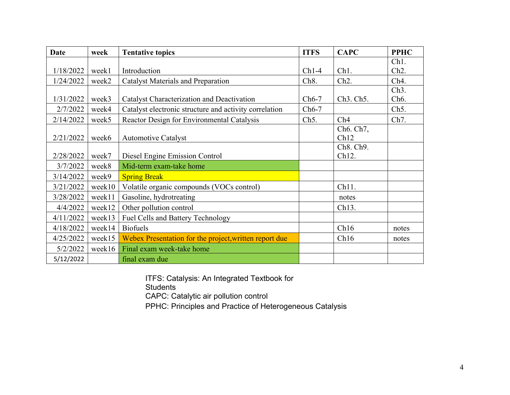| Date      | week   | <b>Tentative topics</b>                                | <b>ITFS</b>       | <b>CAPC</b>                         | <b>PPHC</b>       |
|-----------|--------|--------------------------------------------------------|-------------------|-------------------------------------|-------------------|
|           |        |                                                        |                   |                                     | Ch <sub>1</sub> . |
| 1/18/2022 | week1  | Introduction                                           | $Ch1-4$           | Ch1.                                | Ch <sub>2</sub> . |
| 1/24/2022 | week2  | <b>Catalyst Materials and Preparation</b>              | Ch <sub>8</sub> . | Ch <sub>2</sub> .                   | Ch <sub>4</sub> . |
|           |        |                                                        |                   |                                     | Ch <sub>3</sub> . |
| 1/31/2022 | week3  | Catalyst Characterization and Deactivation             | $Ch6-7$           | Ch <sub>3</sub> . Ch <sub>5</sub> . | Ch <sub>6</sub> . |
| 2/7/2022  | week4  | Catalyst electronic structure and activity correlation | $Ch6-7$           |                                     | Ch <sub>5</sub> . |
| 2/14/2022 | week5  | Reactor Design for Environmental Catalysis             | Ch <sub>5</sub> . | Ch4                                 | Ch <sub>7</sub> . |
|           |        |                                                        |                   | Ch <sub>6</sub> . Ch <sub>7</sub> , |                   |
| 2/21/2022 | week6  | <b>Automotive Catalyst</b>                             |                   | Ch12                                |                   |
|           |        |                                                        |                   | Ch8. Ch9.                           |                   |
| 2/28/2022 | week7  | Diesel Engine Emission Control                         |                   | Ch12.                               |                   |
| 3/7/2022  | week8  | Mid-term exam-take home                                |                   |                                     |                   |
| 3/14/2022 | week9  | <b>Spring Break</b>                                    |                   |                                     |                   |
| 3/21/2022 | week10 | Volatile organic compounds (VOCs control)              |                   | Ch11.                               |                   |
| 3/28/2022 | week11 | Gasoline, hydrotreating                                |                   | notes                               |                   |
| 4/4/2022  | week12 | Other pollution control                                |                   | Ch13.                               |                   |
| 4/11/2022 | week13 | Fuel Cells and Battery Technology                      |                   |                                     |                   |
| 4/18/2022 | week14 | <b>Biofuels</b>                                        |                   | Ch16                                | notes             |
| 4/25/2022 | week15 | Webex Presentation for the project, written report due |                   | Ch16                                | notes             |
| 5/2/2022  | week16 | Final exam week-take home                              |                   |                                     |                   |
| 5/12/2022 |        | final exam due                                         |                   |                                     |                   |

ITFS: Catalysis: An Integrated Textbook for **Students** CAPC: Catalytic air pollution control

PPHC: Principles and Practice of Heterogeneous Catalysis